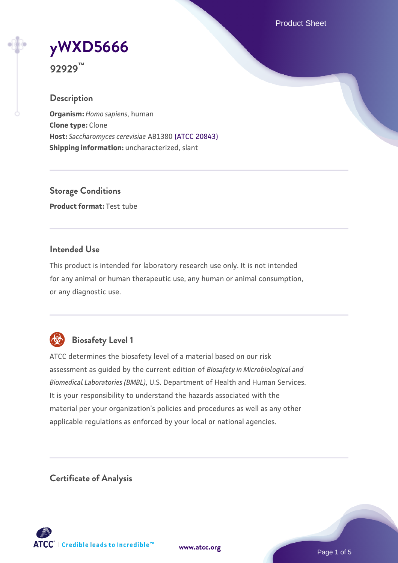Product Sheet

# **[yWXD5666](https://www.atcc.org/products/92929)**

**92929™**

## **Description**

**Organism:** *Homo sapiens*, human **Clone type:** Clone **Host:** *Saccharomyces cerevisiae* AB1380 [\(ATCC 20843\)](https://www.atcc.org/products/20843) **Shipping information:** uncharacterized, slant

**Storage Conditions Product format:** Test tube

## **Intended Use**

This product is intended for laboratory research use only. It is not intended for any animal or human therapeutic use, any human or animal consumption, or any diagnostic use.



## **Biosafety Level 1**

ATCC determines the biosafety level of a material based on our risk assessment as guided by the current edition of *Biosafety in Microbiological and Biomedical Laboratories (BMBL)*, U.S. Department of Health and Human Services. It is your responsibility to understand the hazards associated with the material per your organization's policies and procedures as well as any other applicable regulations as enforced by your local or national agencies.

**Certificate of Analysis**

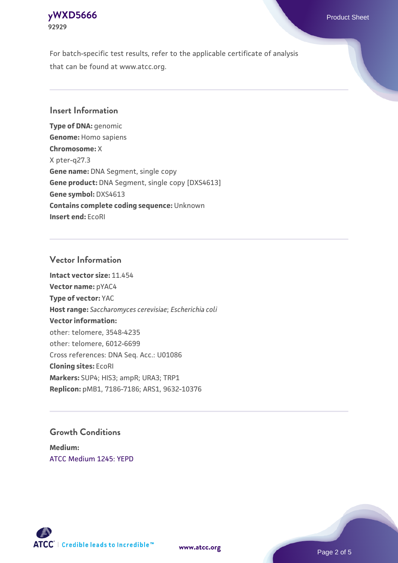## **[yWXD5666](https://www.atcc.org/products/92929)** Product Sheet **92929**

For batch-specific test results, refer to the applicable certificate of analysis that can be found at www.atcc.org.

## **Insert Information**

**Type of DNA:** genomic **Genome:** Homo sapiens **Chromosome:** X X pter-q27.3 **Gene name:** DNA Segment, single copy **Gene product:** DNA Segment, single copy [DXS4613] **Gene symbol:** DXS4613 **Contains complete coding sequence:** Unknown **Insert end:** EcoRI

## **Vector Information**

**Intact vector size:** 11.454 **Vector name:** pYAC4 **Type of vector:** YAC **Host range:** *Saccharomyces cerevisiae*; *Escherichia coli* **Vector information:** other: telomere, 3548-4235 other: telomere, 6012-6699 Cross references: DNA Seq. Acc.: U01086 **Cloning sites:** EcoRI **Markers:** SUP4; HIS3; ampR; URA3; TRP1 **Replicon:** pMB1, 7186-7186; ARS1, 9632-10376

## **Growth Conditions**

**Medium:**  [ATCC Medium 1245: YEPD](https://www.atcc.org/-/media/product-assets/documents/microbial-media-formulations/1/2/4/5/atcc-medium-1245.pdf?rev=705ca55d1b6f490a808a965d5c072196)



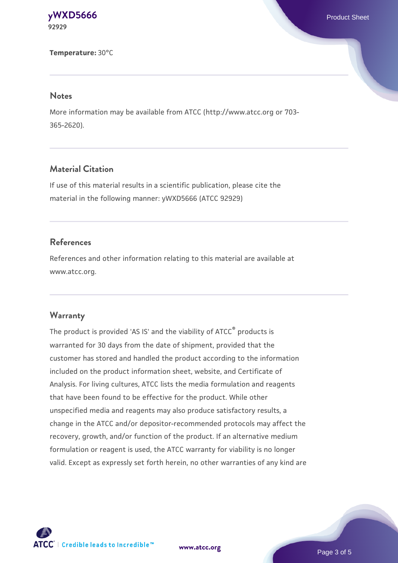**[yWXD5666](https://www.atcc.org/products/92929)** Product Sheet **92929**

**Temperature:** 30°C

#### **Notes**

More information may be available from ATCC (http://www.atcc.org or 703- 365-2620).

## **Material Citation**

If use of this material results in a scientific publication, please cite the material in the following manner: yWXD5666 (ATCC 92929)

## **References**

References and other information relating to this material are available at www.atcc.org.

#### **Warranty**

The product is provided 'AS IS' and the viability of ATCC® products is warranted for 30 days from the date of shipment, provided that the customer has stored and handled the product according to the information included on the product information sheet, website, and Certificate of Analysis. For living cultures, ATCC lists the media formulation and reagents that have been found to be effective for the product. While other unspecified media and reagents may also produce satisfactory results, a change in the ATCC and/or depositor-recommended protocols may affect the recovery, growth, and/or function of the product. If an alternative medium formulation or reagent is used, the ATCC warranty for viability is no longer valid. Except as expressly set forth herein, no other warranties of any kind are

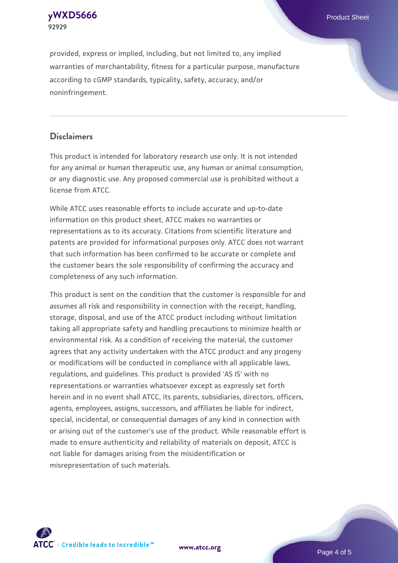**[yWXD5666](https://www.atcc.org/products/92929)** Product Sheet **92929**

provided, express or implied, including, but not limited to, any implied warranties of merchantability, fitness for a particular purpose, manufacture according to cGMP standards, typicality, safety, accuracy, and/or noninfringement.

## **Disclaimers**

This product is intended for laboratory research use only. It is not intended for any animal or human therapeutic use, any human or animal consumption, or any diagnostic use. Any proposed commercial use is prohibited without a license from ATCC.

While ATCC uses reasonable efforts to include accurate and up-to-date information on this product sheet, ATCC makes no warranties or representations as to its accuracy. Citations from scientific literature and patents are provided for informational purposes only. ATCC does not warrant that such information has been confirmed to be accurate or complete and the customer bears the sole responsibility of confirming the accuracy and completeness of any such information.

This product is sent on the condition that the customer is responsible for and assumes all risk and responsibility in connection with the receipt, handling, storage, disposal, and use of the ATCC product including without limitation taking all appropriate safety and handling precautions to minimize health or environmental risk. As a condition of receiving the material, the customer agrees that any activity undertaken with the ATCC product and any progeny or modifications will be conducted in compliance with all applicable laws, regulations, and guidelines. This product is provided 'AS IS' with no representations or warranties whatsoever except as expressly set forth herein and in no event shall ATCC, its parents, subsidiaries, directors, officers, agents, employees, assigns, successors, and affiliates be liable for indirect, special, incidental, or consequential damages of any kind in connection with or arising out of the customer's use of the product. While reasonable effort is made to ensure authenticity and reliability of materials on deposit, ATCC is not liable for damages arising from the misidentification or misrepresentation of such materials.



**[www.atcc.org](http://www.atcc.org)**

Page 4 of 5